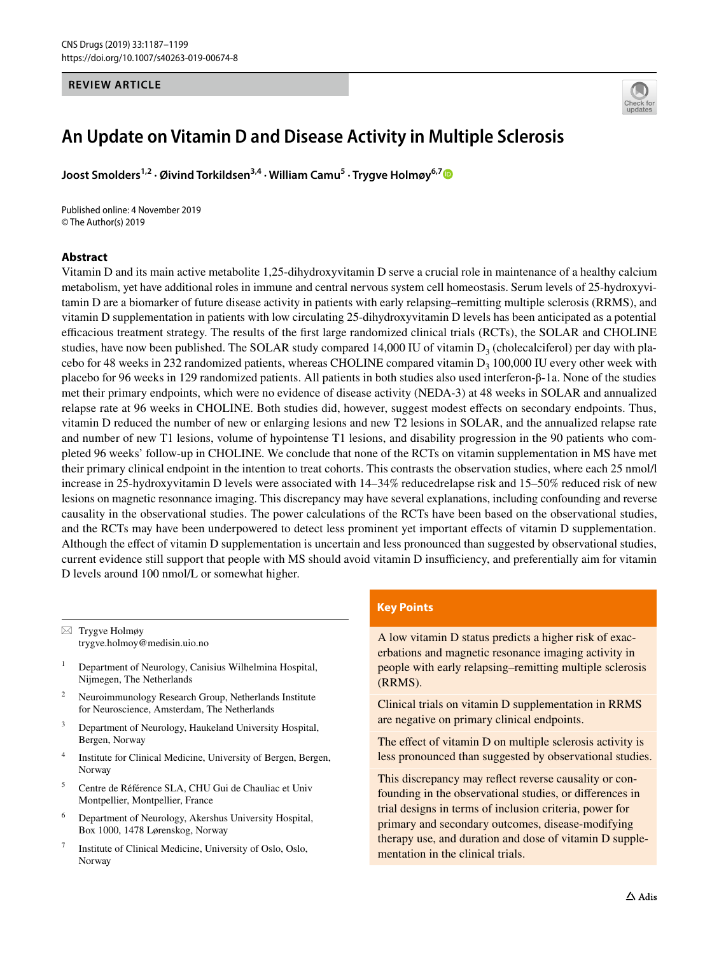#### **REVIEW ARTICLE**



# **An Update on Vitamin D and Disease Activity in Multiple Sclerosis**

**Joost Smolders1,2 · Øivind Torkildsen3,4 · William Camu5 · Trygve Holmøy6,[7](http://orcid.org/0000-0002-2529-5664)**

Published online: 4 November 2019 © The Author(s) 2019

#### **Abstract**

Vitamin D and its main active metabolite 1,25-dihydroxyvitamin D serve a crucial role in maintenance of a healthy calcium metabolism, yet have additional roles in immune and central nervous system cell homeostasis. Serum levels of 25-hydroxyvitamin D are a biomarker of future disease activity in patients with early relapsing–remitting multiple sclerosis (RRMS), and vitamin D supplementation in patients with low circulating 25-dihydroxyvitamin D levels has been anticipated as a potential efcacious treatment strategy. The results of the frst large randomized clinical trials (RCTs), the SOLAR and CHOLINE studies, have now been published. The SOLAR study compared 14,000 IU of vitamin  $D_3$  (cholecalciferol) per day with placebo for 48 weeks in 232 randomized patients, whereas CHOLINE compared vitamin  $D_3$  100,000 IU every other week with placebo for 96 weeks in 129 randomized patients. All patients in both studies also used interferon-β-1a. None of the studies met their primary endpoints, which were no evidence of disease activity (NEDA-3) at 48 weeks in SOLAR and annualized relapse rate at 96 weeks in CHOLINE. Both studies did, however, suggest modest efects on secondary endpoints. Thus, vitamin D reduced the number of new or enlarging lesions and new T2 lesions in SOLAR, and the annualized relapse rate and number of new T1 lesions, volume of hypointense T1 lesions, and disability progression in the 90 patients who completed 96 weeks' follow-up in CHOLINE. We conclude that none of the RCTs on vitamin supplementation in MS have met their primary clinical endpoint in the intention to treat cohorts. This contrasts the observation studies, where each 25 nmol/l increase in 25-hydroxyvitamin D levels were associated with 14–34% reducedrelapse risk and 15–50% reduced risk of new lesions on magnetic resonnance imaging. This discrepancy may have several explanations, including confounding and reverse causality in the observational studies. The power calculations of the RCTs have been based on the observational studies, and the RCTs may have been underpowered to detect less prominent yet important efects of vitamin D supplementation. Although the efect of vitamin D supplementation is uncertain and less pronounced than suggested by observational studies, current evidence still support that people with MS should avoid vitamin D insufficiency, and preferentially aim for vitamin D levels around 100 nmol/L or somewhat higher.

 $\boxtimes$  Trygve Holmøy trygve.holmoy@medisin.uio.no

- <sup>1</sup> Department of Neurology, Canisius Wilhelmina Hospital, Nijmegen, The Netherlands
- <sup>2</sup> Neuroimmunology Research Group, Netherlands Institute for Neuroscience, Amsterdam, The Netherlands
- <sup>3</sup> Department of Neurology, Haukeland University Hospital, Bergen, Norway
- <sup>4</sup> Institute for Clinical Medicine, University of Bergen, Bergen, **Norway**
- <sup>5</sup> Centre de Référence SLA, CHU Gui de Chauliac et Univ Montpellier, Montpellier, France
- <sup>6</sup> Department of Neurology, Akershus University Hospital, Box 1000, 1478 Lørenskog, Norway
- Institute of Clinical Medicine, University of Oslo, Oslo, Norway

#### **Key Points**

A low vitamin D status predicts a higher risk of exacerbations and magnetic resonance imaging activity in people with early relapsing–remitting multiple sclerosis (RRMS).

Clinical trials on vitamin D supplementation in RRMS are negative on primary clinical endpoints.

The effect of vitamin D on multiple sclerosis activity is less pronounced than suggested by observational studies.

This discrepancy may refect reverse causality or confounding in the observational studies, or diferences in trial designs in terms of inclusion criteria, power for primary and secondary outcomes, disease-modifying therapy use, and duration and dose of vitamin D supplementation in the clinical trials.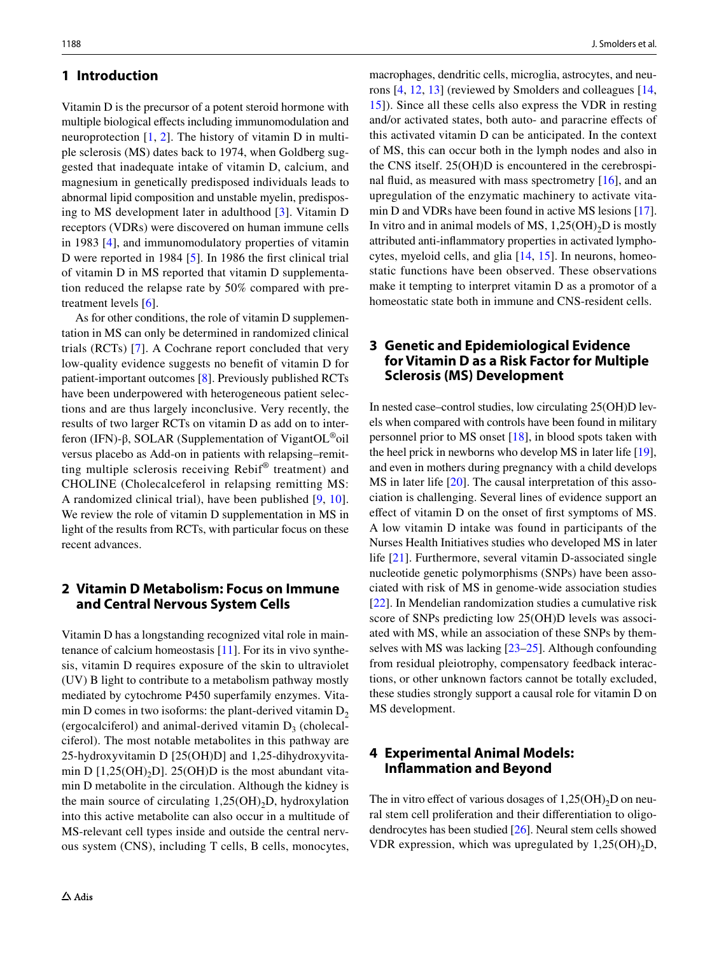#### **1 Introduction**

Vitamin D is the precursor of a potent steroid hormone with multiple biological efects including immunomodulation and neuroprotection [\[1](#page-9-0), [2\]](#page-9-1). The history of vitamin D in multiple sclerosis (MS) dates back to 1974, when Goldberg suggested that inadequate intake of vitamin D, calcium, and magnesium in genetically predisposed individuals leads to abnormal lipid composition and unstable myelin, predisposing to MS development later in adulthood [\[3](#page-9-2)]. Vitamin D receptors (VDRs) were discovered on human immune cells in 1983 [\[4](#page-9-3)], and immunomodulatory properties of vitamin D were reported in 1984 [[5\]](#page-9-4). In 1986 the first clinical trial of vitamin D in MS reported that vitamin D supplementation reduced the relapse rate by 50% compared with pretreatment levels [[6\]](#page-9-5).

As for other conditions, the role of vitamin D supplementation in MS can only be determined in randomized clinical trials (RCTs) [[7](#page-9-6)]. A Cochrane report concluded that very low-quality evidence suggests no beneft of vitamin D for patient-important outcomes [\[8](#page-10-0)]. Previously published RCTs have been underpowered with heterogeneous patient selections and are thus largely inconclusive. Very recently, the results of two larger RCTs on vitamin D as add on to interferon (IFN)-β, SOLAR (Supplementation of VigantOL®oil versus placebo as Add-on in patients with relapsing–remitting multiple sclerosis receiving Rebif® treatment) and CHOLINE (Cholecalceferol in relapsing remitting MS: A randomized clinical trial), have been published [\[9](#page-10-1), [10](#page-10-2)]. We review the role of vitamin D supplementation in MS in light of the results from RCTs, with particular focus on these recent advances.

# **2 Vitamin D Metabolism: Focus on Immune and Central Nervous System Cells**

Vitamin D has a longstanding recognized vital role in maintenance of calcium homeostasis [\[11](#page-10-3)]. For its in vivo synthesis, vitamin D requires exposure of the skin to ultraviolet (UV) B light to contribute to a metabolism pathway mostly mediated by cytochrome P450 superfamily enzymes. Vitamin D comes in two isoforms: the plant-derived vitamin  $D_2$ (ergocalciferol) and animal-derived vitamin  $D_3$  (cholecalciferol). The most notable metabolites in this pathway are 25-hydroxyvitamin D [25(OH)D] and 1,25-dihydroxyvitamin D  $[1,25(OH),D]$ . 25(OH)D is the most abundant vitamin D metabolite in the circulation. Although the kidney is the main source of circulating  $1,25(OH)_{2}D$ , hydroxylation into this active metabolite can also occur in a multitude of MS-relevant cell types inside and outside the central nervous system (CNS), including T cells, B cells, monocytes,

macrophages, dendritic cells, microglia, astrocytes, and neurons [\[4](#page-9-3), [12,](#page-10-4) [13\]](#page-10-5) (reviewed by Smolders and colleagues [[14,](#page-10-6) [15](#page-10-7)]). Since all these cells also express the VDR in resting and/or activated states, both auto- and paracrine efects of this activated vitamin D can be anticipated. In the context of MS, this can occur both in the lymph nodes and also in the CNS itself. 25(OH)D is encountered in the cerebrospinal fuid, as measured with mass spectrometry [[16](#page-10-8)], and an upregulation of the enzymatic machinery to activate vitamin D and VDRs have been found in active MS lesions [[17](#page-10-9)]. In vitro and in animal models of MS,  $1,25(OH)<sub>2</sub>D$  is mostly attributed anti-infammatory properties in activated lymphocytes, myeloid cells, and glia [[14,](#page-10-6) [15](#page-10-7)]. In neurons, homeostatic functions have been observed. These observations make it tempting to interpret vitamin D as a promotor of a homeostatic state both in immune and CNS-resident cells.

# <span id="page-1-0"></span>**3 Genetic and Epidemiological Evidence for Vitamin D as a Risk Factor for Multiple Sclerosis (MS) Development**

In nested case–control studies, low circulating 25(OH)D levels when compared with controls have been found in military personnel prior to MS onset [[18\]](#page-10-10), in blood spots taken with the heel prick in newborns who develop MS in later life [[19](#page-10-11)], and even in mothers during pregnancy with a child develops MS in later life [\[20](#page-10-12)]. The causal interpretation of this association is challenging. Several lines of evidence support an efect of vitamin D on the onset of frst symptoms of MS. A low vitamin D intake was found in participants of the Nurses Health Initiatives studies who developed MS in later life [\[21\]](#page-10-13). Furthermore, several vitamin D-associated single nucleotide genetic polymorphisms (SNPs) have been associated with risk of MS in genome-wide association studies [[22\]](#page-10-14). In Mendelian randomization studies a cumulative risk score of SNPs predicting low 25(OH)D levels was associated with MS, while an association of these SNPs by themselves with MS was lacking [\[23](#page-10-15)[–25](#page-10-16)]. Although confounding from residual pleiotrophy, compensatory feedback interactions, or other unknown factors cannot be totally excluded, these studies strongly support a causal role for vitamin D on MS development.

## **4 Experimental Animal Models: Infammation and Beyond**

The in vitro effect of various dosages of  $1,25(OH)_{2}D$  on neural stem cell proliferation and their diferentiation to oligodendrocytes has been studied [\[26](#page-10-17)]. Neural stem cells showed VDR expression, which was upregulated by  $1,25(OH)<sub>2</sub>D$ ,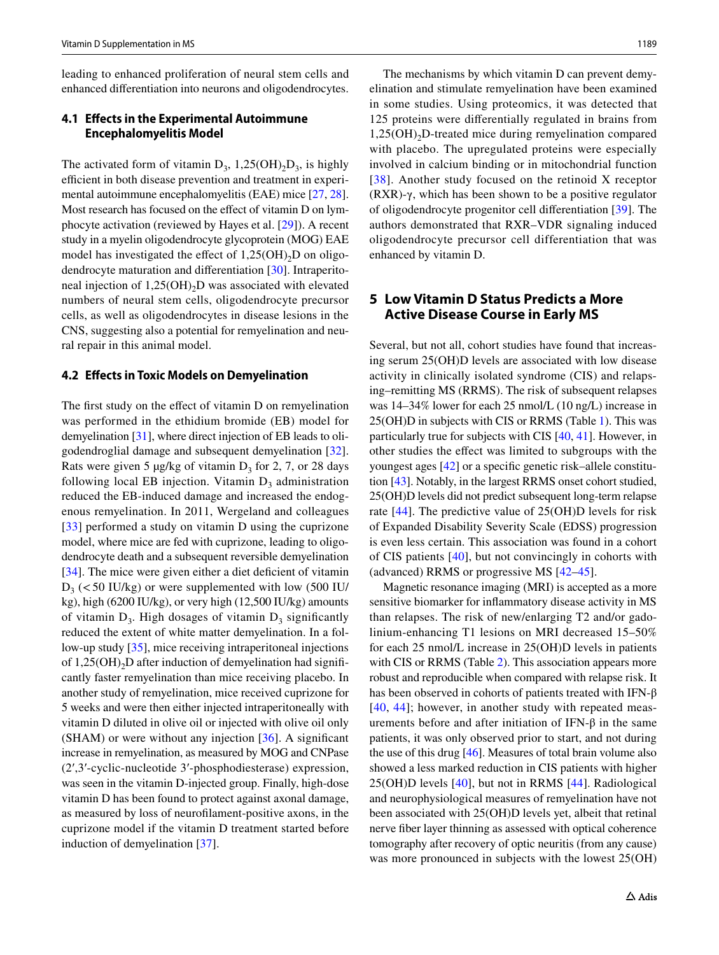leading to enhanced proliferation of neural stem cells and enhanced diferentiation into neurons and oligodendrocytes.

#### **4.1 Efects in the Experimental Autoimmune Encephalomyelitis Model**

The activated form of vitamin  $D_3$ , 1,25(OH)<sub>2</sub>D<sub>3</sub>, is highly efficient in both disease prevention and treatment in experimental autoimmune encephalomyelitis (EAE) mice [[27,](#page-10-18) [28](#page-10-19)]. Most research has focused on the efect of vitamin D on lymphocyte activation (reviewed by Hayes et al. [\[29](#page-10-20)]). A recent study in a myelin oligodendrocyte glycoprotein (MOG) EAE model has investigated the effect of  $1,25(OH)_{2}D$  on oligodendrocyte maturation and diferentiation [\[30\]](#page-10-21). Intraperitoneal injection of  $1,25(OH)$ <sub>2</sub>D was associated with elevated numbers of neural stem cells, oligodendrocyte precursor cells, as well as oligodendrocytes in disease lesions in the CNS, suggesting also a potential for remyelination and neural repair in this animal model.

#### **4.2 Efects in Toxic Models on Demyelination**

The first study on the effect of vitamin D on remyelination was performed in the ethidium bromide (EB) model for demyelination [[31](#page-10-22)], where direct injection of EB leads to oligodendroglial damage and subsequent demyelination [\[32](#page-10-23)]. Rats were given 5  $\mu$ g/kg of vitamin D<sub>3</sub> for 2, 7, or 28 days following local EB injection. Vitamin  $D_3$  administration reduced the EB-induced damage and increased the endogenous remyelination. In 2011, Wergeland and colleagues [\[33\]](#page-10-24) performed a study on vitamin D using the cuprizone model, where mice are fed with cuprizone, leading to oligodendrocyte death and a subsequent reversible demyelination [\[34\]](#page-10-25). The mice were given either a diet deficient of vitamin  $D_3$  (<50 IU/kg) or were supplemented with low (500 IU/ kg), high (6200 IU/kg), or very high (12,500 IU/kg) amounts of vitamin  $D_3$ . High dosages of vitamin  $D_3$  significantly reduced the extent of white matter demyelination. In a follow-up study [[35\]](#page-10-26), mice receiving intraperitoneal injections of  $1,25(OH)<sub>2</sub>D$  after induction of demyelination had significantly faster remyelination than mice receiving placebo. In another study of remyelination, mice received cuprizone for 5 weeks and were then either injected intraperitoneally with vitamin D diluted in olive oil or injected with olive oil only  $(SHAM)$  or were without any injection  $[36]$ . A significant increase in remyelination, as measured by MOG and CNPase (2′,3′-cyclic-nucleotide 3′-phosphodiesterase) expression, was seen in the vitamin D-injected group. Finally, high-dose vitamin D has been found to protect against axonal damage, as measured by loss of neuroflament-positive axons, in the cuprizone model if the vitamin D treatment started before induction of demyelination [[37\]](#page-10-28).

The mechanisms by which vitamin D can prevent demyelination and stimulate remyelination have been examined in some studies. Using proteomics, it was detected that 125 proteins were diferentially regulated in brains from  $1,25(OH)$ <sub>2</sub>D-treated mice during remyelination compared with placebo. The upregulated proteins were especially involved in calcium binding or in mitochondrial function [[38](#page-10-29)]. Another study focused on the retinoid X receptor (RXR)-γ, which has been shown to be a positive regulator of oligodendrocyte progenitor cell diferentiation [\[39](#page-10-30)]. The authors demonstrated that RXR–VDR signaling induced oligodendrocyte precursor cell differentiation that was enhanced by vitamin D.

## **5 Low Vitamin D Status Predicts a More Active Disease Course in Early MS**

Several, but not all, cohort studies have found that increasing serum 25(OH)D levels are associated with low disease activity in clinically isolated syndrome (CIS) and relapsing–remitting MS (RRMS). The risk of subsequent relapses was 14–34% lower for each 25 nmol/L (10 ng/L) increase in 25(OH)D in subjects with CIS or RRMS (Table [1](#page-3-0)). This was particularly true for subjects with CIS [[40,](#page-10-31) [41\]](#page-10-32). However, in other studies the efect was limited to subgroups with the youngest ages [[42\]](#page-10-33) or a specifc genetic risk–allele constitution [\[43\]](#page-10-34). Notably, in the largest RRMS onset cohort studied, 25(OH)D levels did not predict subsequent long-term relapse rate [[44](#page-10-35)]. The predictive value of 25(OH)D levels for risk of Expanded Disability Severity Scale (EDSS) progression is even less certain. This association was found in a cohort of CIS patients [[40\]](#page-10-31), but not convincingly in cohorts with (advanced) RRMS or progressive MS [[42–](#page-10-33)[45](#page-10-36)].

Magnetic resonance imaging (MRI) is accepted as a more sensitive biomarker for infammatory disease activity in MS than relapses. The risk of new/enlarging T2 and/or gadolinium-enhancing T1 lesions on MRI decreased 15–50% for each 25 nmol/L increase in 25(OH)D levels in patients with CIS or RRMS (Table [2\)](#page-3-1). This association appears more robust and reproducible when compared with relapse risk. It has been observed in cohorts of patients treated with IFN-β [[40](#page-10-31), [44](#page-10-35)]; however, in another study with repeated measurements before and after initiation of IFN-β in the same patients, it was only observed prior to start, and not during the use of this drug [\[46](#page-11-0)]. Measures of total brain volume also showed a less marked reduction in CIS patients with higher 25(OH)D levels [[40\]](#page-10-31), but not in RRMS [\[44](#page-10-35)]. Radiological and neurophysiological measures of remyelination have not been associated with 25(OH)D levels yet, albeit that retinal nerve fber layer thinning as assessed with optical coherence tomography after recovery of optic neuritis (from any cause) was more pronounced in subjects with the lowest  $25(OH)$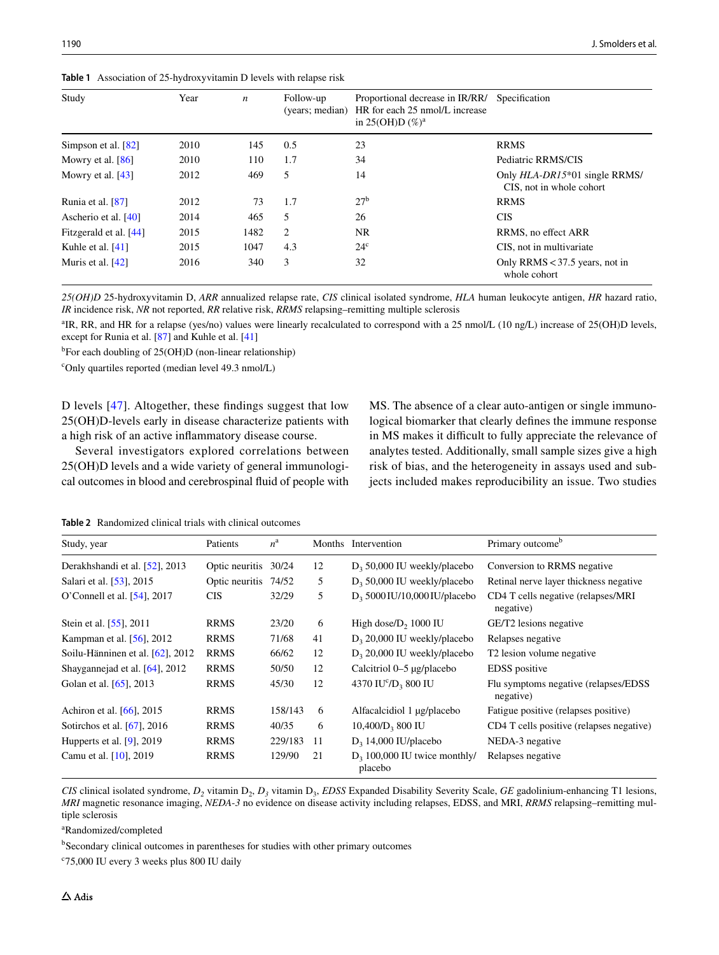<span id="page-3-0"></span>**Table 1** Association of 25-hydroxyvitamin D levels with relapse risk

| Study                  | Year | $\boldsymbol{n}$ | Follow-up<br>(years; median) | Proportional decrease in IR/RR/<br>HR for each 25 nmol/L increase<br>in 25(OH)D $(\%)^a$ | Specification                                             |
|------------------------|------|------------------|------------------------------|------------------------------------------------------------------------------------------|-----------------------------------------------------------|
| Simpson et al. $[82]$  | 2010 | 145              | 0.5                          | 23                                                                                       | <b>RRMS</b>                                               |
| Mowry et al. $[86]$    | 2010 | 110              | 1.7                          | 34                                                                                       | Pediatric RRMS/CIS                                        |
| Mowry et al. $[43]$    | 2012 | 469              | 5                            | 14                                                                                       | Only HLA-DR15*01 single RRMS/<br>CIS, not in whole cohort |
| Runia et al. $[87]$    | 2012 | 73               | 1.7                          | 27 <sup>b</sup>                                                                          | <b>RRMS</b>                                               |
| Ascherio et al. [40]   | 2014 | 465              | 5                            | 26                                                                                       | <b>CIS</b>                                                |
| Fitzgerald et al. [44] | 2015 | 1482             | 2                            | NR.                                                                                      | RRMS, no effect ARR                                       |
| Kuhle et al. $[41]$    | 2015 | 1047             | 4.3                          | $24^{\circ}$                                                                             | CIS, not in multivariate                                  |
| Muris et al. $[42]$    | 2016 | 340              | 3                            | 32                                                                                       | Only RRMS $<$ 37.5 years, not in<br>whole cohort          |

*25(OH)D* 25-hydroxyvitamin D, *ARR* annualized relapse rate, *CIS* clinical isolated syndrome, *HLA* human leukocyte antigen, *HR* hazard ratio, *IR* incidence risk, *NR* not reported, *RR* relative risk, *RRMS* relapsing–remitting multiple sclerosis

<sup>a</sup>IR, RR, and HR for a relapse (yes/no) values were linearly recalculated to correspond with a 25 nmol/L (10 ng/L) increase of 25(OH)D levels, except for Runia et al. [\[87\]](#page-12-0) and Kuhle et al. [\[41](#page-10-32)]

b For each doubling of 25(OH)D (non-linear relationship)

c Only quartiles reported (median level 49.3 nmol/L)

D levels [[47](#page-11-1)]. Altogether, these fndings suggest that low 25(OH)D-levels early in disease characterize patients with a high risk of an active infammatory disease course.

Several investigators explored correlations between 25(OH)D levels and a wide variety of general immunological outcomes in blood and cerebrospinal fuid of people with MS. The absence of a clear auto-antigen or single immunological biomarker that clearly defnes the immune response in MS makes it difficult to fully appreciate the relevance of analytes tested. Additionally, small sample sizes give a high risk of bias, and the heterogeneity in assays used and subjects included makes reproducibility an issue. Two studies

<span id="page-3-1"></span>**Table 2** Randomized clinical trials with clinical outcomes

| Study, year                       | Patients             | $n^{\rm a}$ |    | Months Intervention                         | Primary outcome <sup>b</sup>                       |
|-----------------------------------|----------------------|-------------|----|---------------------------------------------|----------------------------------------------------|
| Derakhshandi et al. [52], 2013    | Optic neuritis 30/24 |             | 12 | $D_3$ 50,000 IU weekly/placebo              | Conversion to RRMS negative                        |
| Salari et al. [53], 2015          | Optic neuritis 74/52 |             | 5  | $D_3$ 50,000 IU weekly/placebo              | Retinal nerve layer thickness negative             |
| O'Connell et al. [54], 2017       | <b>CIS</b>           | 32/29       | 5  | $D_3$ 5000 IU/10,000 IU/placebo             | CD4 T cells negative (relapses/MRI<br>negative)    |
| Stein et al. [55], 2011           | <b>RRMS</b>          | 23/20       | 6  | High dose/ $D_2$ , 1000 IU                  | GE/T <sub>2</sub> lesions negative                 |
| Kampman et al. [56], 2012         | <b>RRMS</b>          | 71/68       | 41 | $D_3$ 20,000 IU weekly/placebo              | Relapses negative                                  |
| Soilu-Hänninen et al. [62], 2012  | <b>RRMS</b>          | 66/62       | 12 | $D_3$ 20,000 IU weekly/placebo              | T <sub>2</sub> lesion volume negative              |
| Shaygannejad et al. $[64]$ , 2012 | <b>RRMS</b>          | 50/50       | 12 | Calcitriol 0-5 µg/placebo                   | <b>EDSS</b> positive                               |
| Golan et al. [65], 2013           | <b>RRMS</b>          | 45/30       | 12 | 4370 IU <sup>c</sup> /D <sub>3</sub> 800 IU | Flu symptoms negative (relapses/EDSS)<br>negative) |
| Achiron et al. [66], 2015         | <b>RRMS</b>          | 158/143     | 6  | Alfacalcidiol 1 µg/placebo                  | Fatigue positive (relapses positive)               |
| Sotirchos et al. [67], 2016       | <b>RRMS</b>          | 40/35       | 6  | $10,400/D$ <sub>3</sub> 800 IU              | CD4 T cells positive (relapses negative)           |
| Hupperts et al. $[9]$ , 2019      | <b>RRMS</b>          | 229/183     | 11 | $D_3$ 14,000 IU/placebo                     | NEDA-3 negative                                    |
| Camu et al. [10], 2019            | <b>RRMS</b>          | 129/90      | 21 | $D_3$ 100,000 IU twice monthly/<br>placebo  | Relapses negative                                  |

*CIS* clinical isolated syndrome,  $D_2$  vitamin  $D_2$ ,  $D_3$  vitamin  $D_3$ , *EDSS* Expanded Disability Severity Scale, *GE* gadolinium-enhancing T1 lesions, *MRI* magnetic resonance imaging, *NEDA*-*3* no evidence on disease activity including relapses, EDSS, and MRI, *RRMS* relapsing–remitting multiple sclerosis

a Randomized/completed

<sup>b</sup>Secondary clinical outcomes in parentheses for studies with other primary outcomes

c 75,000 IU every 3 weeks plus 800 IU daily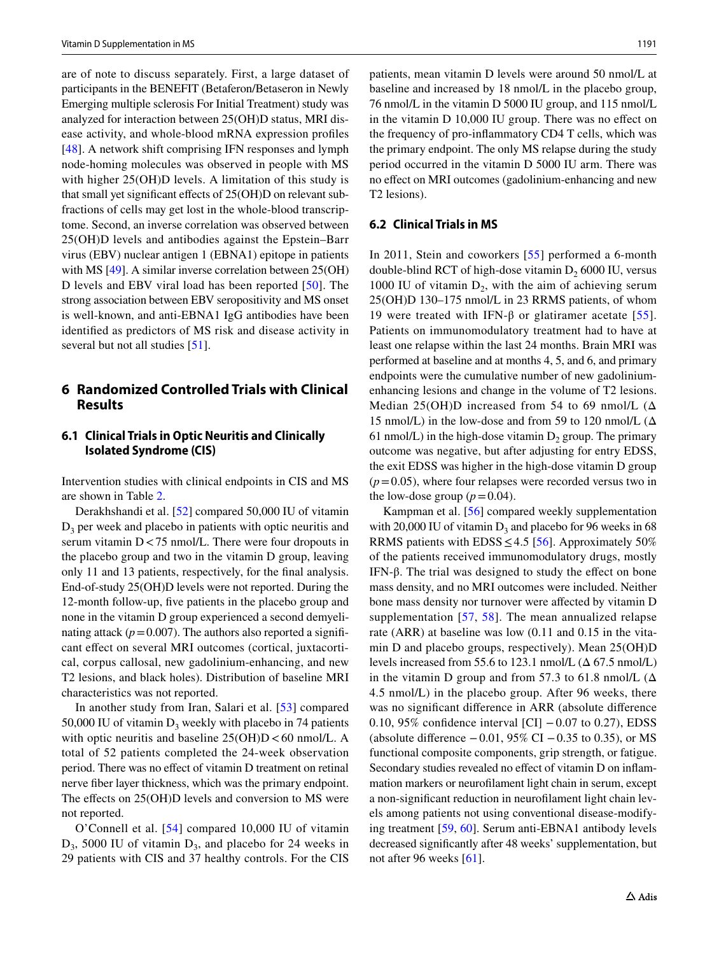are of note to discuss separately. First, a large dataset of participants in the BENEFIT (Betaferon/Betaseron in Newly Emerging multiple sclerosis For Initial Treatment) study was analyzed for interaction between 25(OH)D status, MRI disease activity, and whole-blood mRNA expression profles [\[48\]](#page-11-12). A network shift comprising IFN responses and lymph node-homing molecules was observed in people with MS with higher  $25(OH)D$  levels. A limitation of this study is that small yet signifcant efects of 25(OH)D on relevant subfractions of cells may get lost in the whole-blood transcriptome. Second, an inverse correlation was observed between 25(OH)D levels and antibodies against the Epstein–Barr virus (EBV) nuclear antigen 1 (EBNA1) epitope in patients with MS [[49\]](#page-11-13). A similar inverse correlation between 25(OH) D levels and EBV viral load has been reported [[50\]](#page-11-14). The strong association between EBV seropositivity and MS onset is well-known, and anti-EBNA1 IgG antibodies have been identifed as predictors of MS risk and disease activity in several but not all studies [[51\]](#page-11-15).

# **6 Randomized Controlled Trials with Clinical Results**

#### **6.1 Clinical Trials in Optic Neuritis and Clinically Isolated Syndrome (CIS)**

Intervention studies with clinical endpoints in CIS and MS are shown in Table [2.](#page-3-1)

Derakhshandi et al. [\[52](#page-11-2)] compared 50,000 IU of vitamin  $D_3$  per week and placebo in patients with optic neuritis and serum vitamin D<75 nmol/L. There were four dropouts in the placebo group and two in the vitamin D group, leaving only 11 and 13 patients, respectively, for the fnal analysis. End-of-study 25(OH)D levels were not reported. During the 12-month follow-up, fve patients in the placebo group and none in the vitamin D group experienced a second demyelinating attack  $(p=0.007)$ . The authors also reported a significant effect on several MRI outcomes (cortical, juxtacortical, corpus callosal, new gadolinium-enhancing, and new T2 lesions, and black holes). Distribution of baseline MRI characteristics was not reported.

In another study from Iran, Salari et al. [\[53](#page-11-3)] compared 50,000 IU of vitamin  $D_3$  weekly with placebo in 74 patients with optic neuritis and baseline  $25(OH)D < 60$  nmol/L. A total of 52 patients completed the 24-week observation period. There was no efect of vitamin D treatment on retinal nerve fber layer thickness, which was the primary endpoint. The effects on 25(OH)D levels and conversion to MS were not reported.

O'Connell et al. [[54](#page-11-4)] compared 10,000 IU of vitamin  $D_3$ , 5000 IU of vitamin  $D_3$ , and placebo for 24 weeks in 29 patients with CIS and 37 healthy controls. For the CIS patients, mean vitamin D levels were around 50 nmol/L at baseline and increased by 18 nmol/L in the placebo group, 76 nmol/L in the vitamin D 5000 IU group, and 115 nmol/L in the vitamin D 10,000 IU group. There was no efect on the frequency of pro-infammatory CD4 T cells, which was the primary endpoint. The only MS relapse during the study period occurred in the vitamin D 5000 IU arm. There was no efect on MRI outcomes (gadolinium-enhancing and new T2 lesions).

#### <span id="page-4-0"></span>**6.2 Clinical Trials in MS**

In 2011, Stein and coworkers [\[55\]](#page-11-5) performed a 6-month double-blind RCT of high-dose vitamin  $D<sub>2</sub> 6000$  IU, versus 1000 IU of vitamin  $D_2$ , with the aim of achieving serum 25(OH)D 130–175 nmol/L in 23 RRMS patients, of whom 19 were treated with IFN-β or glatiramer acetate [[55](#page-11-5)]. Patients on immunomodulatory treatment had to have at least one relapse within the last 24 months. Brain MRI was performed at baseline and at months 4, 5, and 6, and primary endpoints were the cumulative number of new gadoliniumenhancing lesions and change in the volume of T2 lesions. Median 25(OH)D increased from 54 to 69 nmol/L  $(\Delta)$ 15 nmol/L) in the low-dose and from 59 to 120 nmol/L (Δ 61 nmol/L) in the high-dose vitamin  $D_2$  group. The primary outcome was negative, but after adjusting for entry EDSS, the exit EDSS was higher in the high-dose vitamin D group  $(p=0.05)$ , where four relapses were recorded versus two in the low-dose group  $(p=0.04)$ .

Kampman et al. [[56\]](#page-11-6) compared weekly supplementation with 20,000 IU of vitamin  $D_3$  and placebo for 96 weeks in 68 RRMS patients with EDSS  $\leq$  4.5 [[56\]](#page-11-6). Approximately 50% of the patients received immunomodulatory drugs, mostly IFN- $β$ . The trial was designed to study the effect on bone mass density, and no MRI outcomes were included. Neither bone mass density nor turnover were afected by vitamin D supplementation [[57](#page-11-16), [58\]](#page-11-17). The mean annualized relapse rate (ARR) at baseline was low (0.11 and 0.15 in the vitamin D and placebo groups, respectively). Mean 25(OH)D levels increased from 55.6 to 123.1 nmol/L  $(\Delta 67.5 \text{ nmol/L})$ in the vitamin D group and from 57.3 to 61.8 nmol/L  $(\Delta)$ 4.5 nmol/L) in the placebo group. After 96 weeks, there was no signifcant diference in ARR (absolute diference 0.10, 95% confdence interval [CI] −0.07 to 0.27), EDSS (absolute difference  $-0.01$ , 95% CI  $-0.35$  to 0.35), or MS functional composite components, grip strength, or fatigue. Secondary studies revealed no efect of vitamin D on infammation markers or neuroflament light chain in serum, except a non-signifcant reduction in neuroflament light chain levels among patients not using conventional disease-modifying treatment [[59](#page-11-18), [60\]](#page-11-19). Serum anti-EBNA1 antibody levels decreased signifcantly after 48 weeks' supplementation, but not after 96 weeks [[61](#page-11-20)].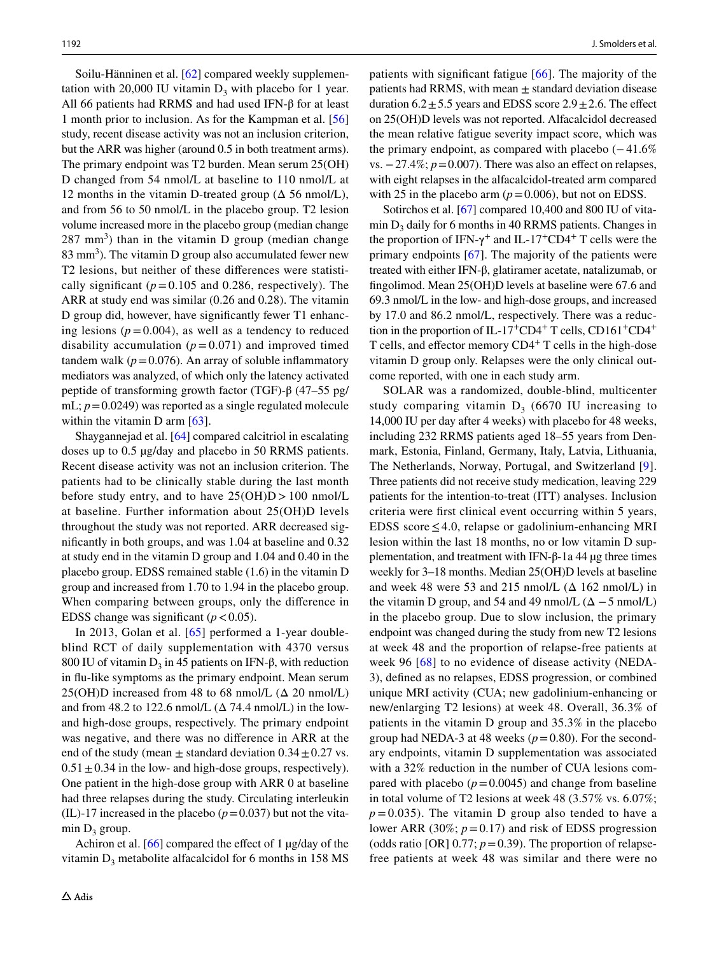Soilu-Hänninen et al. [\[62\]](#page-11-7) compared weekly supplementation with 20,000 IU vitamin  $D_3$  with placebo for 1 year. All 66 patients had RRMS and had used IFN-β for at least 1 month prior to inclusion. As for the Kampman et al. [[56\]](#page-11-6) study, recent disease activity was not an inclusion criterion, but the ARR was higher (around 0.5 in both treatment arms). The primary endpoint was T2 burden. Mean serum 25(OH) D changed from 54 nmol/L at baseline to 110 nmol/L at 12 months in the vitamin D-treated group  $(\Delta 56 \text{ nmol/L})$ , and from 56 to 50 nmol/L in the placebo group. T2 lesion volume increased more in the placebo group (median change  $(287 \text{ mm}^3)$  than in the vitamin D group (median change  $83 \text{ mm}^3$ ). The vitamin D group also accumulated fewer new T2 lesions, but neither of these diferences were statistically significant ( $p = 0.105$  and 0.286, respectively). The ARR at study end was similar (0.26 and 0.28). The vitamin D group did, however, have signifcantly fewer T1 enhancing lesions ( $p = 0.004$ ), as well as a tendency to reduced disability accumulation  $(p=0.071)$  and improved timed tandem walk ( $p = 0.076$ ). An array of soluble inflammatory mediators was analyzed, of which only the latency activated peptide of transforming growth factor (TGF)-β (47–55 pg/ mL;  $p=0.0249$ ) was reported as a single regulated molecule within the vitamin D arm [\[63](#page-11-21)].

Shaygannejad et al. [\[64](#page-11-8)] compared calcitriol in escalating doses up to 0.5 µg/day and placebo in 50 RRMS patients. Recent disease activity was not an inclusion criterion. The patients had to be clinically stable during the last month before study entry, and to have  $25(OH)D > 100$  nmol/L at baseline. Further information about 25(OH)D levels throughout the study was not reported. ARR decreased signifcantly in both groups, and was 1.04 at baseline and 0.32 at study end in the vitamin D group and 1.04 and 0.40 in the placebo group. EDSS remained stable (1.6) in the vitamin D group and increased from 1.70 to 1.94 in the placebo group. When comparing between groups, only the diference in EDSS change was significant  $(p < 0.05)$ .

In 2013, Golan et al. [[65](#page-11-9)] performed a 1-year doubleblind RCT of daily supplementation with 4370 versus 800 IU of vitamin  $D_3$  in 45 patients on IFN-β, with reduction in fu-like symptoms as the primary endpoint. Mean serum  $25(OH)D$  increased from 48 to 68 nmol/L ( $\Delta$  20 nmol/L) and from 48.2 to 122.6 nmol/L  $(\Delta 74.4 \text{ nmol/L})$  in the lowand high-dose groups, respectively. The primary endpoint was negative, and there was no diference in ARR at the end of the study (mean  $\pm$  standard deviation 0.34  $\pm$  0.27 vs.  $0.51 \pm 0.34$  in the low- and high-dose groups, respectively). One patient in the high-dose group with ARR 0 at baseline had three relapses during the study. Circulating interleukin (IL)-17 increased in the placebo  $(p=0.037)$  but not the vitamin  $D_3$  group.

Achiron et al. [\[66](#page-11-10)] compared the effect of 1 µg/day of the vitamin  $D_3$  metabolite alfacalcidol for 6 months in 158 MS patients with signifcant fatigue [[66\]](#page-11-10). The majority of the patients had RRMS, with mean  $\pm$  standard deviation disease duration  $6.2 \pm 5.5$  years and EDSS score  $2.9 \pm 2.6$ . The effect on 25(OH)D levels was not reported. Alfacalcidol decreased the mean relative fatigue severity impact score, which was the primary endpoint, as compared with placebo  $(-41.6\%$ vs.  $-27.4\%; p=0.007$ . There was also an effect on relapses, with eight relapses in the alfacalcidol-treated arm compared with 25 in the placebo arm  $(p=0.006)$ , but not on EDSS.

Sotirchos et al. [[67\]](#page-11-11) compared 10,400 and 800 IU of vitamin  $D_3$  daily for 6 months in 40 RRMS patients. Changes in the proportion of IFN- $\gamma$ <sup>+</sup> and IL-17<sup>+</sup>CD4<sup>+</sup> T cells were the primary endpoints [[67](#page-11-11)]. The majority of the patients were treated with either IFN-β, glatiramer acetate, natalizumab, or fngolimod. Mean 25(OH)D levels at baseline were 67.6 and 69.3 nmol/L in the low- and high-dose groups, and increased by 17.0 and 86.2 nmol/L, respectively. There was a reduction in the proportion of IL-17+CD4+ T cells, CD161+CD4+ T cells, and effector memory  $CD4<sup>+</sup>$  T cells in the high-dose vitamin D group only. Relapses were the only clinical outcome reported, with one in each study arm.

SOLAR was a randomized, double-blind, multicenter study comparing vitamin  $D_3$  (6670 IU increasing to 14,000 IU per day after 4 weeks) with placebo for 48 weeks, including 232 RRMS patients aged 18–55 years from Denmark, Estonia, Finland, Germany, Italy, Latvia, Lithuania, The Netherlands, Norway, Portugal, and Switzerland [[9](#page-10-1)]. Three patients did not receive study medication, leaving 229 patients for the intention-to-treat (ITT) analyses. Inclusion criteria were frst clinical event occurring within 5 years, EDSS score  $\leq 4.0$ , relapse or gadolinium-enhancing MRI lesion within the last 18 months, no or low vitamin D supplementation, and treatment with IFN-β-1a 44  $\mu$ g three times weekly for 3–18 months. Median 25(OH)D levels at baseline and week 48 were 53 and 215 nmol/L  $(\Delta 162 \text{ nmol/L})$  in the vitamin D group, and 54 and 49 nmol/L  $(\Delta - 5 \text{ nmol/L})$ in the placebo group. Due to slow inclusion, the primary endpoint was changed during the study from new T2 lesions at week 48 and the proportion of relapse-free patients at week 96 [[68](#page-11-22)] to no evidence of disease activity (NEDA-3), defned as no relapses, EDSS progression, or combined unique MRI activity (CUA; new gadolinium-enhancing or new/enlarging T2 lesions) at week 48. Overall, 36.3% of patients in the vitamin D group and 35.3% in the placebo group had NEDA-3 at 48 weeks ( $p=0.80$ ). For the secondary endpoints, vitamin D supplementation was associated with a 32% reduction in the number of CUA lesions compared with placebo  $(p=0.0045)$  and change from baseline in total volume of T2 lesions at week 48 (3.57% vs. 6.07%;  $p = 0.035$ ). The vitamin D group also tended to have a lower ARR (30%;  $p = 0.17$ ) and risk of EDSS progression (odds ratio [OR]  $0.77$ ;  $p = 0.39$ ). The proportion of relapsefree patients at week 48 was similar and there were no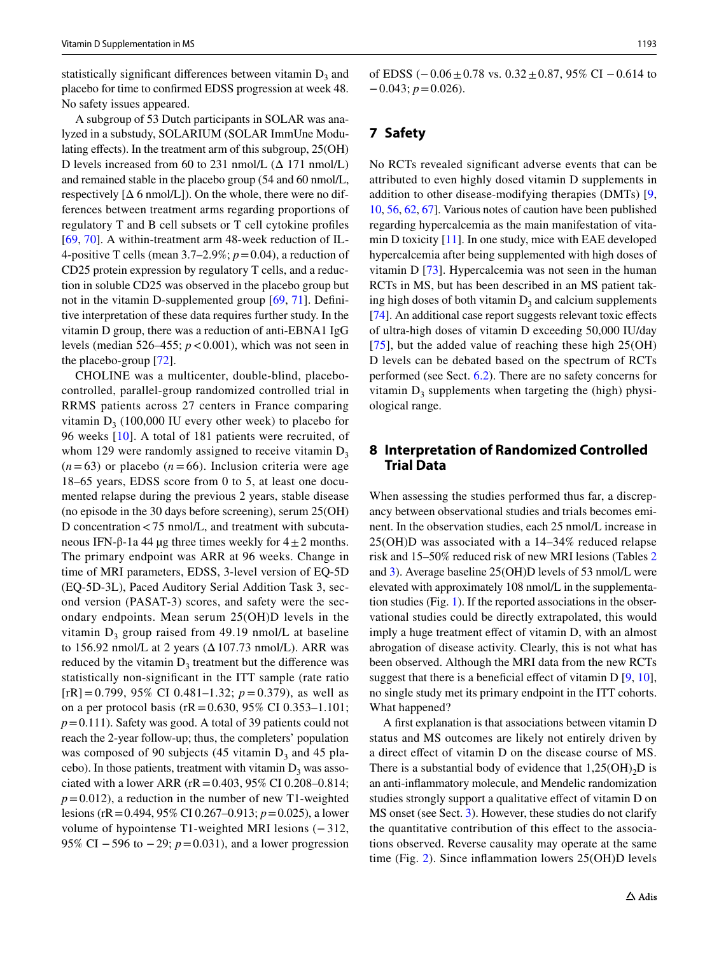statistically significant differences between vitamin  $D_3$  and placebo for time to confrmed EDSS progression at week 48. No safety issues appeared.

A subgroup of 53 Dutch participants in SOLAR was analyzed in a substudy, SOLARIUM (SOLAR ImmUne Modulating effects). In the treatment arm of this subgroup,  $25(OH)$ D levels increased from 60 to 231 nmol/L  $(\Delta 171 \text{ nmol/L})$ and remained stable in the placebo group (54 and 60 nmol/L, respectively  $[\Delta 6 \text{ nmol/L}]$ ). On the whole, there were no differences between treatment arms regarding proportions of regulatory T and B cell subsets or T cell cytokine profles [\[69,](#page-11-23) [70\]](#page-11-24). A within-treatment arm 48-week reduction of IL-4-positive T cells (mean  $3.7-2.9\%$ ;  $p=0.04$ ), a reduction of CD25 protein expression by regulatory T cells, and a reduction in soluble CD25 was observed in the placebo group but not in the vitamin D-supplemented group [\[69](#page-11-23), [71\]](#page-11-25). Defnitive interpretation of these data requires further study. In the vitamin D group, there was a reduction of anti-EBNA1 IgG levels (median 526–455;  $p < 0.001$ ), which was not seen in the placebo-group [\[72](#page-11-26)].

CHOLINE was a multicenter, double-blind, placebocontrolled, parallel-group randomized controlled trial in RRMS patients across 27 centers in France comparing vitamin  $D_3$  (100,000 IU every other week) to placebo for 96 weeks [[10](#page-10-2)]. A total of 181 patients were recruited, of whom 129 were randomly assigned to receive vitamin  $D_3$  $(n=63)$  or placebo  $(n=66)$ . Inclusion criteria were age 18–65 years, EDSS score from 0 to 5, at least one documented relapse during the previous 2 years, stable disease (no episode in the 30 days before screening), serum 25(OH) D concentration<75 nmol/L, and treatment with subcutaneous IFN-β-1a 44 μg three times weekly for  $4\pm 2$  months. The primary endpoint was ARR at 96 weeks. Change in time of MRI parameters, EDSS, 3-level version of EQ-5D (EQ-5D-3L), Paced Auditory Serial Addition Task 3, second version (PASAT-3) scores, and safety were the secondary endpoints. Mean serum 25(OH)D levels in the vitamin  $D_3$  group raised from 49.19 nmol/L at baseline to 156.92 nmol/L at 2 years  $(\Delta 107.73 \text{ nmol/L})$ . ARR was reduced by the vitamin  $D_3$  treatment but the difference was statistically non-signifcant in the ITT sample (rate ratio  $[rR] = 0.799, 95\% \text{ CI } 0.481 - 1.32; p = 0.379$ , as well as on a per protocol basis (rR = 0.630, 95% CI 0.353–1.101; *p*=0.111). Safety was good. A total of 39 patients could not reach the 2-year follow-up; thus, the completers' population was composed of 90 subjects (45 vitamin  $D_3$  and 45 placebo). In those patients, treatment with vitamin  $D_3$  was associated with a lower ARR ( $rR = 0.403$ , 95% CI 0.208–0.814;  $p=0.012$ ), a reduction in the number of new T1-weighted lesions (rR=0.494, 95% CI 0.267–0.913; *p*=0.025), a lower volume of hypointense T1-weighted MRI lesions (− 312, 95% CI −596 to −29; *p* = 0.031), and a lower progression

of EDSS  $(-0.06 \pm 0.78 \text{ vs. } 0.32 \pm 0.87, 95\% \text{ CI} - 0.614 \text{ to }$ −0.043; *p*=0.026).

# **7 Safety**

No RCTs revealed signifcant adverse events that can be attributed to even highly dosed vitamin D supplements in addition to other disease-modifying therapies (DMTs) [[9,](#page-10-1) [10](#page-10-2), [56,](#page-11-6) [62](#page-11-7), [67\]](#page-11-11). Various notes of caution have been published regarding hypercalcemia as the main manifestation of vitamin D toxicity [\[11](#page-10-3)]. In one study, mice with EAE developed hypercalcemia after being supplemented with high doses of vitamin D [\[73\]](#page-11-27). Hypercalcemia was not seen in the human RCTs in MS, but has been described in an MS patient taking high doses of both vitamin  $D_3$  and calcium supplements [\[74](#page-11-28)]. An additional case report suggests relevant toxic effects of ultra-high doses of vitamin D exceeding 50,000 IU/day [[75\]](#page-11-29), but the added value of reaching these high  $25(OH)$ D levels can be debated based on the spectrum of RCTs performed (see Sect. [6.2](#page-4-0)). There are no safety concerns for vitamin  $D_3$  supplements when targeting the (high) physiological range.

## <span id="page-6-0"></span>**8 Interpretation of Randomized Controlled Trial Data**

When assessing the studies performed thus far, a discrepancy between observational studies and trials becomes eminent. In the observation studies, each 25 nmol/L increase in 25(OH)D was associated with a 14–34% reduced relapse risk and 15–50% reduced risk of new MRI lesions (Tables [2](#page-3-1) and [3\)](#page-7-0). Average baseline 25(OH)D levels of 53 nmol/L were elevated with approximately 108 nmol/L in the supplementation studies (Fig. [1](#page-7-1)). If the reported associations in the observational studies could be directly extrapolated, this would imply a huge treatment effect of vitamin D, with an almost abrogation of disease activity. Clearly, this is not what has been observed. Although the MRI data from the new RCTs suggest that there is a beneficial effect of vitamin  $D [9, 10]$  $D [9, 10]$  $D [9, 10]$  $D [9, 10]$  $D [9, 10]$ , no single study met its primary endpoint in the ITT cohorts. What happened?

A frst explanation is that associations between vitamin D status and MS outcomes are likely not entirely driven by a direct efect of vitamin D on the disease course of MS. There is a substantial body of evidence that  $1,25(OH)_{2}D$  is an anti-infammatory molecule, and Mendelic randomization studies strongly support a qualitative efect of vitamin D on MS onset (see Sect. [3\)](#page-1-0). However, these studies do not clarify the quantitative contribution of this efect to the associations observed. Reverse causality may operate at the same time (Fig. [2](#page-7-2)). Since infammation lowers 25(OH)D levels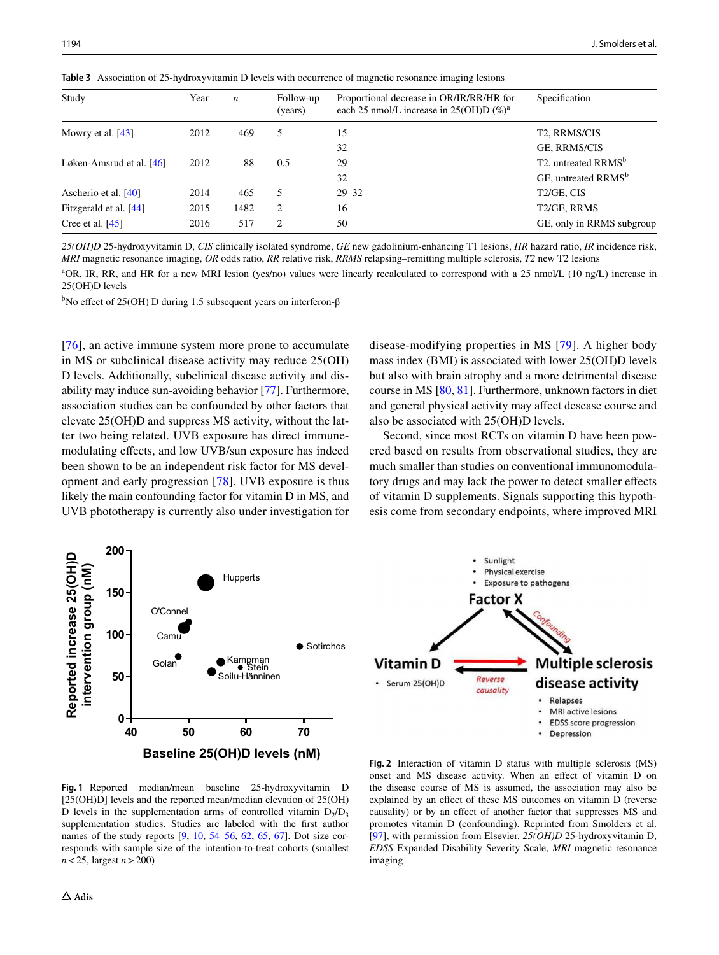| Study                      | Year | $\boldsymbol{n}$ | Follow-up<br>(years)          | Proportional decrease in OR/IR/RR/HR for<br>each 25 nmol/L increase in $25(OH)D$ (%) <sup>a</sup> | Specification                                |
|----------------------------|------|------------------|-------------------------------|---------------------------------------------------------------------------------------------------|----------------------------------------------|
| Mowry et al. $[43]$        | 2012 | 469              | 5                             | 15                                                                                                | T <sub>2</sub> , RRMS/CIS                    |
|                            |      |                  |                               | 32                                                                                                | GE, RRMS/CIS                                 |
| Løken-Amsrud et al. $[46]$ | 2012 | 88               | 0.5                           | 29                                                                                                | T <sub>2</sub> , untreated RRMS <sup>b</sup> |
|                            |      |                  |                               | 32                                                                                                | GE, untreated RRMS <sup>b</sup>              |
| Ascherio et al. [40]       | 2014 | 465              | 5                             | $29 - 32$                                                                                         | T <sub>2</sub> /GE, CIS                      |
| Fitzgerald et al. [44]     | 2015 | 1482             | 2                             | 16                                                                                                | T2/GE, RRMS                                  |
| Cree et al. $[45]$         | 2016 | 517              | $\mathfrak{D}_{\mathfrak{p}}$ | 50                                                                                                | GE, only in RRMS subgroup                    |
|                            |      |                  |                               |                                                                                                   |                                              |

<span id="page-7-0"></span>**Table 3** Association of 25-hydroxyvitamin D levels with occurrence of magnetic resonance imaging lesions

*25(OH)D* 25-hydroxyvitamin D, *CIS* clinically isolated syndrome, *GE* new gadolinium-enhancing T1 lesions, *HR* hazard ratio, *IR* incidence risk, *MRI* magnetic resonance imaging, *OR* odds ratio, *RR* relative risk, *RRMS* relapsing–remitting multiple sclerosis, *T2* new T2 lesions

<sup>a</sup>OR, IR, RR, and HR for a new MRI lesion (yes/no) values were linearly recalculated to correspond with a 25 nmol/L (10 ng/L) increase in 25(OH)D levels

<sup>b</sup>No effect of 25(OH) D during 1.5 subsequent years on interferon-β

[\[76\]](#page-11-30), an active immune system more prone to accumulate in MS or subclinical disease activity may reduce 25(OH) D levels. Additionally, subclinical disease activity and disability may induce sun-avoiding behavior [\[77\]](#page-12-3). Furthermore, association studies can be confounded by other factors that elevate 25(OH)D and suppress MS activity, without the latter two being related. UVB exposure has direct immunemodulating efects, and low UVB/sun exposure has indeed been shown to be an independent risk factor for MS development and early progression [\[78\]](#page-12-4). UVB exposure is thus likely the main confounding factor for vitamin D in MS, and UVB phototherapy is currently also under investigation for disease-modifying properties in MS [[79](#page-12-5)]. A higher body mass index (BMI) is associated with lower 25(OH)D levels but also with brain atrophy and a more detrimental disease course in MS [\[80](#page-12-6), [81\]](#page-12-7). Furthermore, unknown factors in diet and general physical activity may afect desease course and also be associated with 25(OH)D levels.

Second, since most RCTs on vitamin D have been powered based on results from observational studies, they are much smaller than studies on conventional immunomodulatory drugs and may lack the power to detect smaller effects of vitamin D supplements. Signals supporting this hypothesis come from secondary endpoints, where improved MRI



<span id="page-7-1"></span>**Fig. 1** Reported median/mean baseline 25-hydroxyvitamin D [25(OH)D] levels and the reported mean/median elevation of 25(OH) D levels in the supplementation arms of controlled vitamin  $D_2/D_3$ supplementation studies. Studies are labeled with the frst author names of the study reports [\[9,](#page-10-1) [10](#page-10-2), [54](#page-11-4)[–56,](#page-11-6) [62](#page-11-7), [65](#page-11-9), [67\]](#page-11-11). Dot size corresponds with sample size of the intention-to-treat cohorts (smallest *n*<25, largest *n*>200)

<span id="page-7-2"></span>**Fig. 2** Interaction of vitamin D status with multiple sclerosis (MS) onset and MS disease activity. When an efect of vitamin D on the disease course of MS is assumed, the association may also be explained by an efect of these MS outcomes on vitamin D (reverse causality) or by an efect of another factor that suppresses MS and promotes vitamin D (confounding). Reprinted from Smolders et al. [[97](#page-12-8)], with permission from Elsevier. *25(OH)D* 25-hydroxyvitamin D, *EDSS* Expanded Disability Severity Scale, *MRI* magnetic resonance imaging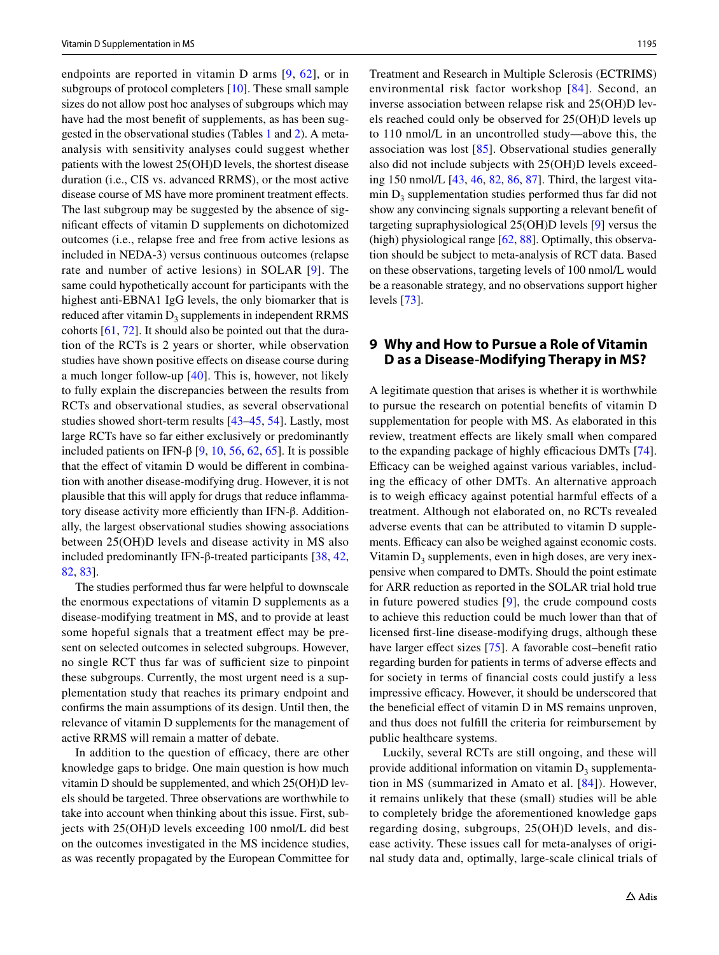endpoints are reported in vitamin D arms [[9](#page-10-1), [62\]](#page-11-7), or in subgroups of protocol completers [[10\]](#page-10-2). These small sample sizes do not allow post hoc analyses of subgroups which may have had the most beneft of supplements, as has been suggested in the observational studies (Tables [1](#page-3-0) and [2\)](#page-3-1). A metaanalysis with sensitivity analyses could suggest whether patients with the lowest 25(OH)D levels, the shortest disease duration (i.e., CIS vs. advanced RRMS), or the most active disease course of MS have more prominent treatment effects. The last subgroup may be suggested by the absence of signifcant efects of vitamin D supplements on dichotomized outcomes (i.e., relapse free and free from active lesions as included in NEDA-3) versus continuous outcomes (relapse rate and number of active lesions) in SOLAR [[9\]](#page-10-1). The same could hypothetically account for participants with the highest anti-EBNA1 IgG levels, the only biomarker that is reduced after vitamin  $D_3$  supplements in independent RRMS cohorts [[61,](#page-11-20) [72\]](#page-11-26). It should also be pointed out that the duration of the RCTs is 2 years or shorter, while observation studies have shown positive efects on disease course during a much longer follow-up [\[40\]](#page-10-31). This is, however, not likely to fully explain the discrepancies between the results from RCTs and observational studies, as several observational studies showed short-term results [[43–](#page-10-34)[45,](#page-10-36) [54\]](#page-11-4). Lastly, most large RCTs have so far either exclusively or predominantly included patients on IFN-β [[9,](#page-10-1) [10,](#page-10-2) [56](#page-11-6), [62](#page-11-7), [65](#page-11-9)]. It is possible that the effect of vitamin D would be different in combination with another disease-modifying drug. However, it is not plausible that this will apply for drugs that reduce infammatory disease activity more efficiently than IFN-β. Additionally, the largest observational studies showing associations between 25(OH)D levels and disease activity in MS also included predominantly IFN-β-treated participants [\[38](#page-10-29), [42,](#page-10-33) [82](#page-12-1), [83](#page-12-9)].

The studies performed thus far were helpful to downscale the enormous expectations of vitamin D supplements as a disease-modifying treatment in MS, and to provide at least some hopeful signals that a treatment effect may be present on selected outcomes in selected subgroups. However, no single RCT thus far was of sufficient size to pinpoint these subgroups. Currently, the most urgent need is a supplementation study that reaches its primary endpoint and confrms the main assumptions of its design. Until then, the relevance of vitamin D supplements for the management of active RRMS will remain a matter of debate.

In addition to the question of efficacy, there are other knowledge gaps to bridge. One main question is how much vitamin D should be supplemented, and which 25(OH)D levels should be targeted. Three observations are worthwhile to take into account when thinking about this issue. First, subjects with 25(OH)D levels exceeding 100 nmol/L did best on the outcomes investigated in the MS incidence studies, as was recently propagated by the European Committee for Treatment and Research in Multiple Sclerosis (ECTRIMS) environmental risk factor workshop [[84\]](#page-12-10). Second, an inverse association between relapse risk and 25(OH)D levels reached could only be observed for 25(OH)D levels up to 110 nmol/L in an uncontrolled study—above this, the association was lost [[85](#page-12-11)]. Observational studies generally also did not include subjects with 25(OH)D levels exceeding 150 nmol/L [[43,](#page-10-34) [46](#page-11-0), [82](#page-12-1), [86](#page-12-2), [87\]](#page-12-0). Third, the largest vita- $\min D_3$  supplementation studies performed thus far did not show any convincing signals supporting a relevant beneft of targeting supraphysiological 25(OH)D levels [[9\]](#page-10-1) versus the (high) physiological range [[62,](#page-11-7) [88\]](#page-12-12). Optimally, this observation should be subject to meta-analysis of RCT data. Based on these observations, targeting levels of 100 nmol/L would be a reasonable strategy, and no observations support higher levels [\[73](#page-11-27)].

## **9 Why and How to Pursue a Role of Vitamin D as a Disease‑Modifying Therapy in MS?**

A legitimate question that arises is whether it is worthwhile to pursue the research on potential benefts of vitamin D supplementation for people with MS. As elaborated in this review, treatment efects are likely small when compared to the expanding package of highly efficacious DMTs [\[74](#page-11-28)]. Efficacy can be weighed against various variables, including the efficacy of other DMTs. An alternative approach is to weigh efficacy against potential harmful effects of a treatment. Although not elaborated on, no RCTs revealed adverse events that can be attributed to vitamin D supplements. Efficacy can also be weighed against economic costs. Vitamin  $D_3$  supplements, even in high doses, are very inexpensive when compared to DMTs. Should the point estimate for ARR reduction as reported in the SOLAR trial hold true in future powered studies [[9\]](#page-10-1), the crude compound costs to achieve this reduction could be much lower than that of licensed frst-line disease-modifying drugs, although these have larger effect sizes [[75](#page-11-29)]. A favorable cost-benefit ratio regarding burden for patients in terms of adverse efects and for society in terms of fnancial costs could justify a less impressive efficacy. However, it should be underscored that the benefcial efect of vitamin D in MS remains unproven, and thus does not fulfll the criteria for reimbursement by public healthcare systems.

Luckily, several RCTs are still ongoing, and these will provide additional information on vitamin  $D_3$  supplementation in MS (summarized in Amato et al. [[84](#page-12-10)]). However, it remains unlikely that these (small) studies will be able to completely bridge the aforementioned knowledge gaps regarding dosing, subgroups, 25(OH)D levels, and disease activity. These issues call for meta-analyses of original study data and, optimally, large-scale clinical trials of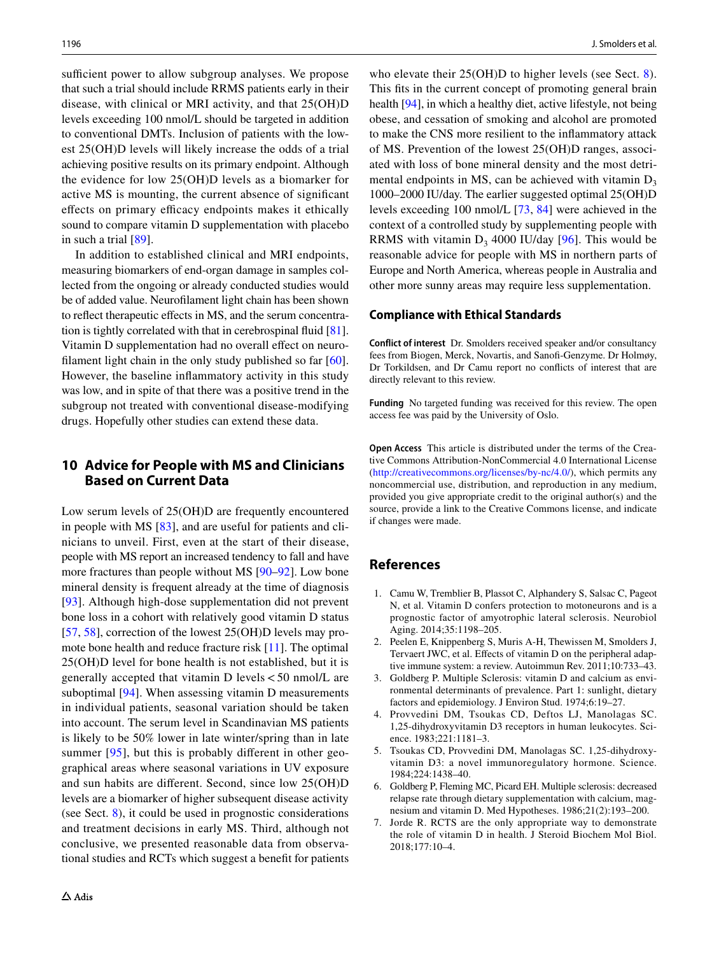sufficient power to allow subgroup analyses. We propose that such a trial should include RRMS patients early in their disease, with clinical or MRI activity, and that 25(OH)D levels exceeding 100 nmol/L should be targeted in addition to conventional DMTs. Inclusion of patients with the lowest 25(OH)D levels will likely increase the odds of a trial achieving positive results on its primary endpoint. Although the evidence for low 25(OH)D levels as a biomarker for active MS is mounting, the current absence of signifcant effects on primary efficacy endpoints makes it ethically sound to compare vitamin D supplementation with placebo in such a trial [\[89](#page-12-13)].

In addition to established clinical and MRI endpoints, measuring biomarkers of end-organ damage in samples collected from the ongoing or already conducted studies would be of added value. Neuroflament light chain has been shown to reflect therapeutic effects in MS, and the serum concentration is tightly correlated with that in cerebrospinal fuid [\[81](#page-12-7)]. Vitamin D supplementation had no overall effect on neuro-filament light chain in the only study published so far [\[60](#page-11-19)]. However, the baseline infammatory activity in this study was low, and in spite of that there was a positive trend in the subgroup not treated with conventional disease-modifying drugs. Hopefully other studies can extend these data.

# **10 Advice for People with MS and Clinicians Based on Current Data**

Low serum levels of 25(OH)D are frequently encountered in people with MS [\[83](#page-12-9)], and are useful for patients and clinicians to unveil. First, even at the start of their disease, people with MS report an increased tendency to fall and have more fractures than people without MS [\[90](#page-12-14)[–92](#page-12-15)]. Low bone mineral density is frequent already at the time of diagnosis [\[93\]](#page-12-16). Although high-dose supplementation did not prevent bone loss in a cohort with relatively good vitamin D status [\[57,](#page-11-16) [58\]](#page-11-17), correction of the lowest 25(OH)D levels may promote bone health and reduce fracture risk [\[11](#page-10-3)]. The optimal 25(OH)D level for bone health is not established, but it is generally accepted that vitamin D levels<50 nmol/L are suboptimal  $[94]$  $[94]$  $[94]$ . When assessing vitamin D measurements in individual patients, seasonal variation should be taken into account. The serum level in Scandinavian MS patients is likely to be 50% lower in late winter/spring than in late summer [[95](#page-12-18)], but this is probably different in other geographical areas where seasonal variations in UV exposure and sun habits are diferent. Second, since low 25(OH)D levels are a biomarker of higher subsequent disease activity (see Sect. [8](#page-6-0)), it could be used in prognostic considerations and treatment decisions in early MS. Third, although not conclusive, we presented reasonable data from observational studies and RCTs which suggest a beneft for patients

who elevate their 25(OH)D to higher levels (see Sect. [8](#page-6-0)). This fts in the current concept of promoting general brain health [[94\]](#page-12-17), in which a healthy diet, active lifestyle, not being obese, and cessation of smoking and alcohol are promoted to make the CNS more resilient to the infammatory attack of MS. Prevention of the lowest 25(OH)D ranges, associated with loss of bone mineral density and the most detrimental endpoints in MS, can be achieved with vitamin  $D_3$ 1000–2000 IU/day. The earlier suggested optimal 25(OH)D levels exceeding 100 nmol/L [\[73](#page-11-27), [84\]](#page-12-10) were achieved in the context of a controlled study by supplementing people with RRMS with vitamin  $D_3$  4000 IU/day [[96\]](#page-12-19). This would be reasonable advice for people with MS in northern parts of Europe and North America, whereas people in Australia and other more sunny areas may require less supplementation.

#### **Compliance with Ethical Standards**

**Conflict of interest** Dr. Smolders received speaker and/or consultancy fees from Biogen, Merck, Novartis, and Sanof-Genzyme. Dr Holmøy, Dr Torkildsen, and Dr Camu report no conficts of interest that are directly relevant to this review.

**Funding** No targeted funding was received for this review. The open access fee was paid by the University of Oslo.

**Open Access** This article is distributed under the terms of the Creative Commons Attribution-NonCommercial 4.0 International License (<http://creativecommons.org/licenses/by-nc/4.0/>), which permits any noncommercial use, distribution, and reproduction in any medium, provided you give appropriate credit to the original author(s) and the source, provide a link to the Creative Commons license, and indicate if changes were made.

## **References**

- <span id="page-9-0"></span>1. Camu W, Tremblier B, Plassot C, Alphandery S, Salsac C, Pageot N, et al. Vitamin D confers protection to motoneurons and is a prognostic factor of amyotrophic lateral sclerosis. Neurobiol Aging. 2014;35:1198–205.
- <span id="page-9-1"></span>2. Peelen E, Knippenberg S, Muris A-H, Thewissen M, Smolders J, Tervaert JWC, et al. Efects of vitamin D on the peripheral adaptive immune system: a review. Autoimmun Rev. 2011;10:733–43.
- <span id="page-9-2"></span>3. Goldberg P. Multiple Sclerosis: vitamin D and calcium as environmental determinants of prevalence. Part 1: sunlight, dietary factors and epidemiology. J Environ Stud. 1974;6:19–27.
- <span id="page-9-3"></span>4. Provvedini DM, Tsoukas CD, Deftos LJ, Manolagas SC. 1,25-dihydroxyvitamin D3 receptors in human leukocytes. Science. 1983;221:1181–3.
- <span id="page-9-4"></span>5. Tsoukas CD, Provvedini DM, Manolagas SC. 1,25-dihydroxyvitamin D3: a novel immunoregulatory hormone. Science. 1984;224:1438–40.
- <span id="page-9-5"></span>6. Goldberg P, Fleming MC, Picard EH. Multiple sclerosis: decreased relapse rate through dietary supplementation with calcium, magnesium and vitamin D. Med Hypotheses. 1986;21(2):193–200.
- <span id="page-9-6"></span>7. Jorde R. RCTS are the only appropriate way to demonstrate the role of vitamin D in health. J Steroid Biochem Mol Biol. 2018;177:10–4.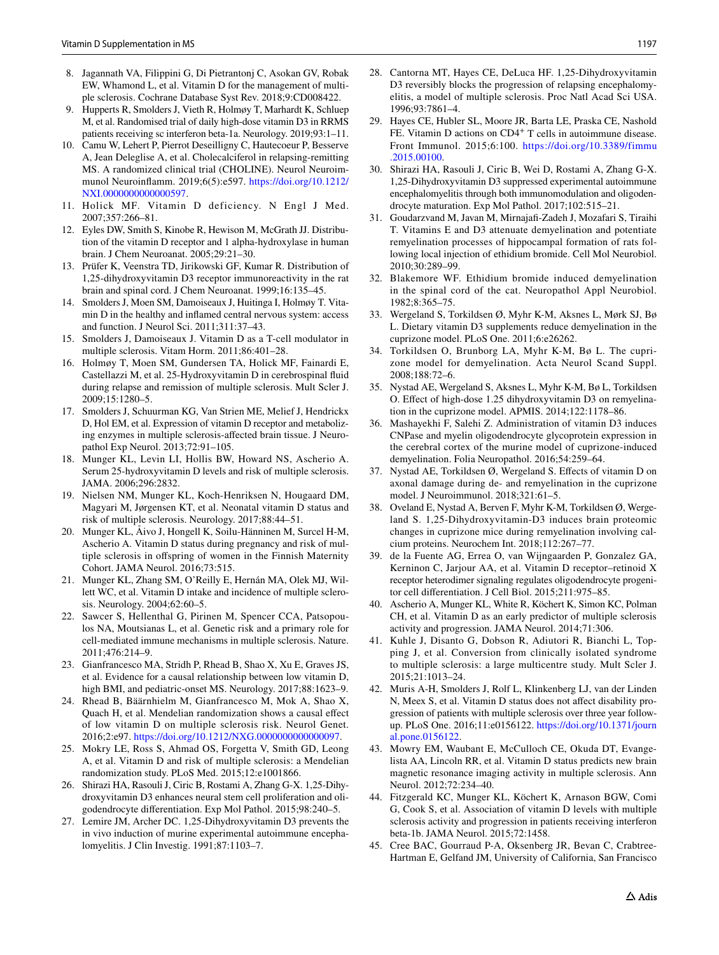- <span id="page-10-0"></span>8. Jagannath VA, Filippini G, Di Pietrantonj C, Asokan GV, Robak EW, Whamond L, et al. Vitamin D for the management of multiple sclerosis. Cochrane Database Syst Rev. 2018;9:CD008422.
- <span id="page-10-1"></span>9. Hupperts R, Smolders J, Vieth R, Holmøy T, Marhardt K, Schluep M, et al. Randomised trial of daily high-dose vitamin D3 in RRMS patients receiving sc interferon beta-1a. Neurology. 2019;93:1–11.
- <span id="page-10-2"></span>10. Camu W, Lehert P, Pierrot Deseilligny C, Hautecoeur P, Besserve A, Jean Deleglise A, et al. Cholecalciferol in relapsing-remitting MS. A randomized clinical trial (CHOLINE). Neurol Neuroimmunol Neuroinfamm. 2019;6(5):e597. [https://doi.org/10.1212/](https://doi.org/10.1212/NXI.0000000000000597) [NXI.0000000000000597](https://doi.org/10.1212/NXI.0000000000000597).
- <span id="page-10-3"></span>11. Holick MF. Vitamin D deficiency. N Engl J Med. 2007;357:266–81.
- <span id="page-10-4"></span>12. Eyles DW, Smith S, Kinobe R, Hewison M, McGrath JJ. Distribution of the vitamin D receptor and 1 alpha-hydroxylase in human brain. J Chem Neuroanat. 2005;29:21–30.
- <span id="page-10-5"></span>13. Prüfer K, Veenstra TD, Jirikowski GF, Kumar R. Distribution of 1,25-dihydroxyvitamin D3 receptor immunoreactivity in the rat brain and spinal cord. J Chem Neuroanat. 1999;16:135–45.
- <span id="page-10-6"></span>14. Smolders J, Moen SM, Damoiseaux J, Huitinga I, Holmøy T. Vitamin D in the healthy and infamed central nervous system: access and function. J Neurol Sci. 2011;311:37–43.
- <span id="page-10-7"></span>15. Smolders J, Damoiseaux J. Vitamin D as a T-cell modulator in multiple sclerosis. Vitam Horm. 2011;86:401–28.
- <span id="page-10-8"></span>16. Holmøy T, Moen SM, Gundersen TA, Holick MF, Fainardi E, Castellazzi M, et al. 25-Hydroxyvitamin D in cerebrospinal fuid during relapse and remission of multiple sclerosis. Mult Scler J. 2009;15:1280–5.
- <span id="page-10-9"></span>17. Smolders J, Schuurman KG, Van Strien ME, Melief J, Hendrickx D, Hol EM, et al. Expression of vitamin D receptor and metabolizing enzymes in multiple sclerosis-afected brain tissue. J Neuropathol Exp Neurol. 2013;72:91–105.
- <span id="page-10-10"></span>18. Munger KL, Levin LI, Hollis BW, Howard NS, Ascherio A. Serum 25-hydroxyvitamin D levels and risk of multiple sclerosis. JAMA. 2006;296:2832.
- <span id="page-10-11"></span>19. Nielsen NM, Munger KL, Koch-Henriksen N, Hougaard DM, Magyari M, Jørgensen KT, et al. Neonatal vitamin D status and risk of multiple sclerosis. Neurology. 2017;88:44–51.
- <span id="page-10-12"></span>20. Munger KL, Åivo J, Hongell K, Soilu-Hänninen M, Surcel H-M, Ascherio A. Vitamin D status during pregnancy and risk of multiple sclerosis in ofspring of women in the Finnish Maternity Cohort. JAMA Neurol. 2016;73:515.
- <span id="page-10-13"></span>21. Munger KL, Zhang SM, O'Reilly E, Hernán MA, Olek MJ, Willett WC, et al. Vitamin D intake and incidence of multiple sclerosis. Neurology. 2004;62:60–5.
- <span id="page-10-14"></span>22. Sawcer S, Hellenthal G, Pirinen M, Spencer CCA, Patsopoulos NA, Moutsianas L, et al. Genetic risk and a primary role for cell-mediated immune mechanisms in multiple sclerosis. Nature. 2011;476:214–9.
- <span id="page-10-15"></span>23. Gianfrancesco MA, Stridh P, Rhead B, Shao X, Xu E, Graves JS, et al. Evidence for a causal relationship between low vitamin D, high BMI, and pediatric-onset MS. Neurology. 2017;88:1623–9.
- 24. Rhead B, Bäärnhielm M, Gianfrancesco M, Mok A, Shao X, Quach H, et al. Mendelian randomization shows a causal efect of low vitamin D on multiple sclerosis risk. Neurol Genet. 2016;2:e97. <https://doi.org/10.1212/NXG.0000000000000097>.
- <span id="page-10-16"></span>25. Mokry LE, Ross S, Ahmad OS, Forgetta V, Smith GD, Leong A, et al. Vitamin D and risk of multiple sclerosis: a Mendelian randomization study. PLoS Med. 2015;12:e1001866.
- <span id="page-10-17"></span>26. Shirazi HA, Rasouli J, Ciric B, Rostami A, Zhang G-X. 1,25-Dihydroxyvitamin D3 enhances neural stem cell proliferation and oligodendrocyte diferentiation. Exp Mol Pathol. 2015;98:240–5.
- <span id="page-10-18"></span>27. Lemire JM, Archer DC. 1,25-Dihydroxyvitamin D3 prevents the in vivo induction of murine experimental autoimmune encephalomyelitis. J Clin Investig. 1991;87:1103–7.
- <span id="page-10-19"></span>28. Cantorna MT, Hayes CE, DeLuca HF. 1,25-Dihydroxyvitamin D3 reversibly blocks the progression of relapsing encephalomyelitis, a model of multiple sclerosis. Proc Natl Acad Sci USA. 1996;93:7861–4.
- <span id="page-10-20"></span>29. Hayes CE, Hubler SL, Moore JR, Barta LE, Praska CE, Nashold FE. Vitamin D actions on CD4<sup>+</sup> T cells in autoimmune disease. Front Immunol. 2015;6:100. [https://doi.org/10.3389/fimmu](https://doi.org/10.3389/fimmu.2015.00100) [.2015.00100](https://doi.org/10.3389/fimmu.2015.00100).
- <span id="page-10-21"></span>30. Shirazi HA, Rasouli J, Ciric B, Wei D, Rostami A, Zhang G-X. 1,25-Dihydroxyvitamin D3 suppressed experimental autoimmune encephalomyelitis through both immunomodulation and oligodendrocyte maturation. Exp Mol Pathol. 2017;102:515–21.
- <span id="page-10-22"></span>31. Goudarzvand M, Javan M, Mirnajaf-Zadeh J, Mozafari S, Tiraihi T. Vitamins E and D3 attenuate demyelination and potentiate remyelination processes of hippocampal formation of rats following local injection of ethidium bromide. Cell Mol Neurobiol. 2010;30:289–99.
- <span id="page-10-23"></span>32. Blakemore WF. Ethidium bromide induced demyelination in the spinal cord of the cat. Neuropathol Appl Neurobiol. 1982;8:365–75.
- <span id="page-10-24"></span>33. Wergeland S, Torkildsen Ø, Myhr K-M, Aksnes L, Mørk SJ, Bø L. Dietary vitamin D3 supplements reduce demyelination in the cuprizone model. PLoS One. 2011;6:e26262.
- <span id="page-10-25"></span>34. Torkildsen O, Brunborg LA, Myhr K-M, Bø L. The cuprizone model for demyelination. Acta Neurol Scand Suppl. 2008;188:72–6.
- <span id="page-10-26"></span>35. Nystad AE, Wergeland S, Aksnes L, Myhr K-M, Bø L, Torkildsen O. Efect of high-dose 1.25 dihydroxyvitamin D3 on remyelination in the cuprizone model. APMIS. 2014;122:1178–86.
- <span id="page-10-27"></span>36. Mashayekhi F, Salehi Z. Administration of vitamin D3 induces CNPase and myelin oligodendrocyte glycoprotein expression in the cerebral cortex of the murine model of cuprizone-induced demyelination. Folia Neuropathol. 2016;54:259–64.
- <span id="page-10-28"></span>37. Nystad AE, Torkildsen Ø, Wergeland S. Efects of vitamin D on axonal damage during de- and remyelination in the cuprizone model. J Neuroimmunol. 2018;321:61–5.
- <span id="page-10-29"></span>38. Oveland E, Nystad A, Berven F, Myhr K-M, Torkildsen Ø, Wergeland S. 1,25-Dihydroxyvitamin-D3 induces brain proteomic changes in cuprizone mice during remyelination involving calcium proteins. Neurochem Int. 2018;112:267–77.
- <span id="page-10-30"></span>39. de la Fuente AG, Errea O, van Wijngaarden P, Gonzalez GA, Kerninon C, Jarjour AA, et al. Vitamin D receptor–retinoid X receptor heterodimer signaling regulates oligodendrocyte progenitor cell diferentiation. J Cell Biol. 2015;211:975–85.
- <span id="page-10-31"></span>40. Ascherio A, Munger KL, White R, Köchert K, Simon KC, Polman CH, et al. Vitamin D as an early predictor of multiple sclerosis activity and progression. JAMA Neurol. 2014;71:306.
- <span id="page-10-32"></span>41. Kuhle J, Disanto G, Dobson R, Adiutori R, Bianchi L, Topping J, et al. Conversion from clinically isolated syndrome to multiple sclerosis: a large multicentre study. Mult Scler J. 2015;21:1013–24.
- <span id="page-10-33"></span>42. Muris A-H, Smolders J, Rolf L, Klinkenberg LJ, van der Linden N, Meex S, et al. Vitamin D status does not affect disability progression of patients with multiple sclerosis over three year followup. PLoS One. 2016;11:e0156122. [https://doi.org/10.1371/journ](https://doi.org/10.1371/journal.pone.0156122) [al.pone.0156122](https://doi.org/10.1371/journal.pone.0156122).
- <span id="page-10-34"></span>43. Mowry EM, Waubant E, McCulloch CE, Okuda DT, Evangelista AA, Lincoln RR, et al. Vitamin D status predicts new brain magnetic resonance imaging activity in multiple sclerosis. Ann Neurol. 2012;72:234–40.
- <span id="page-10-35"></span>44. Fitzgerald KC, Munger KL, Köchert K, Arnason BGW, Comi G, Cook S, et al. Association of vitamin D levels with multiple sclerosis activity and progression in patients receiving interferon beta-1b. JAMA Neurol. 2015;72:1458.
- <span id="page-10-36"></span>45. Cree BAC, Gourraud P-A, Oksenberg JR, Bevan C, Crabtree-Hartman E, Gelfand JM, University of California, San Francisco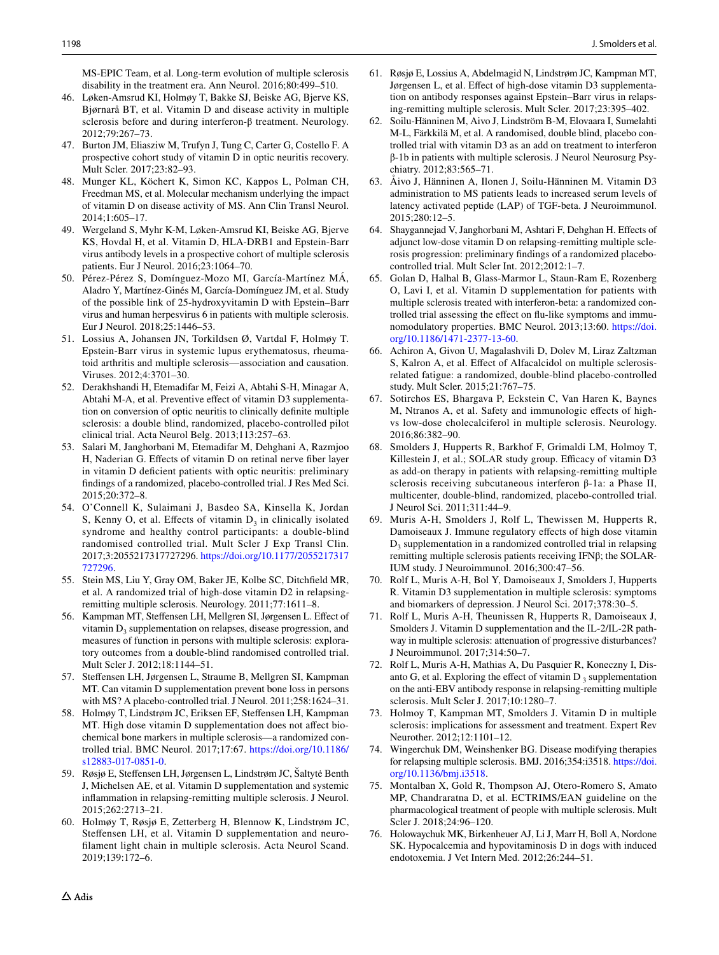MS-EPIC Team, et al. Long-term evolution of multiple sclerosis disability in the treatment era. Ann Neurol. 2016;80:499–510.

- <span id="page-11-0"></span>46. Løken-Amsrud KI, Holmøy T, Bakke SJ, Beiske AG, Bjerve KS, Bjørnarå BT, et al. Vitamin D and disease activity in multiple sclerosis before and during interferon-β treatment. Neurology. 2012;79:267–73.
- <span id="page-11-1"></span>47. Burton JM, Eliasziw M, Trufyn J, Tung C, Carter G, Costello F. A prospective cohort study of vitamin D in optic neuritis recovery. Mult Scler. 2017;23:82–93.
- <span id="page-11-12"></span>48. Munger KL, Köchert K, Simon KC, Kappos L, Polman CH, Freedman MS, et al. Molecular mechanism underlying the impact of vitamin D on disease activity of MS. Ann Clin Transl Neurol. 2014;1:605–17.
- <span id="page-11-13"></span>49. Wergeland S, Myhr K-M, Løken-Amsrud KI, Beiske AG, Bjerve KS, Hovdal H, et al. Vitamin D, HLA-DRB1 and Epstein-Barr virus antibody levels in a prospective cohort of multiple sclerosis patients. Eur J Neurol. 2016;23:1064–70.
- <span id="page-11-14"></span>50. Pérez-Pérez S, Domínguez-Mozo MI, García-Martínez MÁ, Aladro Y, Martínez-Ginés M, García-Domínguez JM, et al. Study of the possible link of 25-hydroxyvitamin D with Epstein–Barr virus and human herpesvirus 6 in patients with multiple sclerosis. Eur J Neurol. 2018;25:1446–53.
- <span id="page-11-15"></span>51. Lossius A, Johansen JN, Torkildsen Ø, Vartdal F, Holmøy T. Epstein-Barr virus in systemic lupus erythematosus, rheumatoid arthritis and multiple sclerosis—association and causation. Viruses. 2012;4:3701–30.
- <span id="page-11-2"></span>52. Derakhshandi H, Etemadifar M, Feizi A, Abtahi S-H, Minagar A, Abtahi M-A, et al. Preventive efect of vitamin D3 supplementation on conversion of optic neuritis to clinically defnite multiple sclerosis: a double blind, randomized, placebo-controlled pilot clinical trial. Acta Neurol Belg. 2013;113:257–63.
- <span id="page-11-3"></span>53. Salari M, Janghorbani M, Etemadifar M, Dehghani A, Razmjoo H, Naderian G. Efects of vitamin D on retinal nerve fber layer in vitamin D defcient patients with optic neuritis: preliminary fndings of a randomized, placebo-controlled trial. J Res Med Sci. 2015;20:372–8.
- <span id="page-11-4"></span>54. O'Connell K, Sulaimani J, Basdeo SA, Kinsella K, Jordan S, Kenny O, et al. Effects of vitamin  $D_3$  in clinically isolated syndrome and healthy control participants: a double-blind randomised controlled trial. Mult Scler J Exp Transl Clin. 2017;3:2055217317727296. [https://doi.org/10.1177/2055217317](https://doi.org/10.1177/2055217317727296) [727296.](https://doi.org/10.1177/2055217317727296)
- <span id="page-11-5"></span>55. Stein MS, Liu Y, Gray OM, Baker JE, Kolbe SC, Ditchfeld MR, et al. A randomized trial of high-dose vitamin D2 in relapsingremitting multiple sclerosis. Neurology. 2011;77:1611–8.
- <span id="page-11-6"></span>56. Kampman MT, Stefensen LH, Mellgren SI, Jørgensen L. Efect of vitamin  $D_3$  supplementation on relapses, disease progression, and measures of function in persons with multiple sclerosis: exploratory outcomes from a double-blind randomised controlled trial. Mult Scler J. 2012;18:1144–51.
- <span id="page-11-16"></span>57. Stefensen LH, Jørgensen L, Straume B, Mellgren SI, Kampman MT. Can vitamin D supplementation prevent bone loss in persons with MS? A placebo-controlled trial. J Neurol. 2011;258:1624–31.
- <span id="page-11-17"></span>58. Holmøy T, Lindstrøm JC, Eriksen EF, Stefensen LH, Kampman MT. High dose vitamin D supplementation does not affect biochemical bone markers in multiple sclerosis—a randomized controlled trial. BMC Neurol. 2017;17:67. [https://doi.org/10.1186/](https://doi.org/10.1186/s12883-017-0851-0) [s12883-017-0851-0.](https://doi.org/10.1186/s12883-017-0851-0)
- <span id="page-11-18"></span>59. Røsjø E, Stefensen LH, Jørgensen L, Lindstrøm JC, Šaltytė Benth J, Michelsen AE, et al. Vitamin D supplementation and systemic infammation in relapsing-remitting multiple sclerosis. J Neurol. 2015;262:2713–21.
- <span id="page-11-19"></span>60. Holmøy T, Røsjø E, Zetterberg H, Blennow K, Lindstrøm JC, Steffensen LH, et al. Vitamin D supplementation and neuroflament light chain in multiple sclerosis. Acta Neurol Scand. 2019;139:172–6.
- <span id="page-11-20"></span>61. Røsjø E, Lossius A, Abdelmagid N, Lindstrøm JC, Kampman MT, Jørgensen L, et al. Efect of high-dose vitamin D3 supplementation on antibody responses against Epstein–Barr virus in relapsing-remitting multiple sclerosis. Mult Scler. 2017;23:395–402.
- <span id="page-11-7"></span>62. Soilu-Hänninen M, Aivo J, Lindström B-M, Elovaara I, Sumelahti M-L, Färkkilä M, et al. A randomised, double blind, placebo controlled trial with vitamin D3 as an add on treatment to interferon β-1b in patients with multiple sclerosis. J Neurol Neurosurg Psychiatry. 2012;83:565–71.
- <span id="page-11-21"></span>63. Åivo J, Hänninen A, Ilonen J, Soilu-Hänninen M. Vitamin D3 administration to MS patients leads to increased serum levels of latency activated peptide (LAP) of TGF-beta. J Neuroimmunol. 2015;280:12–5.
- <span id="page-11-8"></span>64. Shaygannejad V, Janghorbani M, Ashtari F, Dehghan H. Efects of adjunct low-dose vitamin D on relapsing-remitting multiple sclerosis progression: preliminary fndings of a randomized placebocontrolled trial. Mult Scler Int. 2012;2012:1–7.
- <span id="page-11-9"></span>65. Golan D, Halhal B, Glass-Marmor L, Staun-Ram E, Rozenberg O, Lavi I, et al. Vitamin D supplementation for patients with multiple sclerosis treated with interferon-beta: a randomized controlled trial assessing the efect on fu-like symptoms and immunomodulatory properties. BMC Neurol. 2013;13:60. [https://doi.](https://doi.org/10.1186/1471-2377-13-60) [org/10.1186/1471-2377-13-60](https://doi.org/10.1186/1471-2377-13-60).
- <span id="page-11-10"></span>66. Achiron A, Givon U, Magalashvili D, Dolev M, Liraz Zaltzman S, Kalron A, et al. Efect of Alfacalcidol on multiple sclerosisrelated fatigue: a randomized, double-blind placebo-controlled study. Mult Scler. 2015;21:767–75.
- <span id="page-11-11"></span>67. Sotirchos ES, Bhargava P, Eckstein C, Van Haren K, Baynes M, Ntranos A, et al. Safety and immunologic efects of highvs low-dose cholecalciferol in multiple sclerosis. Neurology. 2016;86:382–90.
- <span id="page-11-22"></span>68. Smolders J, Hupperts R, Barkhof F, Grimaldi LM, Holmoy T, Killestein J, et al.; SOLAR study group. Efficacy of vitamin D3 as add-on therapy in patients with relapsing-remitting multiple sclerosis receiving subcutaneous interferon β-1a: a Phase II, multicenter, double-blind, randomized, placebo-controlled trial. J Neurol Sci. 2011;311:44–9.
- <span id="page-11-23"></span>69. Muris A-H, Smolders J, Rolf L, Thewissen M, Hupperts R, Damoiseaux J. Immune regulatory efects of high dose vitamin  $D_3$  supplementation in a randomized controlled trial in relapsing remitting multiple sclerosis patients receiving IFNβ; the SOLAR-IUM study. J Neuroimmunol. 2016;300:47–56.
- <span id="page-11-24"></span>70. Rolf L, Muris A-H, Bol Y, Damoiseaux J, Smolders J, Hupperts R. Vitamin D3 supplementation in multiple sclerosis: symptoms and biomarkers of depression. J Neurol Sci. 2017;378:30–5.
- <span id="page-11-25"></span>71. Rolf L, Muris A-H, Theunissen R, Hupperts R, Damoiseaux J, Smolders J. Vitamin D supplementation and the IL-2/IL-2R pathway in multiple sclerosis: attenuation of progressive disturbances? J Neuroimmunol. 2017;314:50–7.
- <span id="page-11-26"></span>72. Rolf L, Muris A-H, Mathias A, Du Pasquier R, Koneczny I, Disanto G, et al. Exploring the effect of vitamin  $D_3$  supplementation on the anti-EBV antibody response in relapsing-remitting multiple sclerosis. Mult Scler J. 2017;10:1280–7.
- <span id="page-11-27"></span>73. Holmoy T, Kampman MT, Smolders J. Vitamin D in multiple sclerosis: implications for assessment and treatment. Expert Rev Neurother. 2012;12:1101–12.
- <span id="page-11-28"></span>74. Wingerchuk DM, Weinshenker BG. Disease modifying therapies for relapsing multiple sclerosis. BMJ. 2016;354:i3518. [https://doi.](https://doi.org/10.1136/bmj.i3518) [org/10.1136/bmj.i3518](https://doi.org/10.1136/bmj.i3518).
- <span id="page-11-29"></span>75. Montalban X, Gold R, Thompson AJ, Otero-Romero S, Amato MP, Chandraratna D, et al. ECTRIMS/EAN guideline on the pharmacological treatment of people with multiple sclerosis. Mult Scler J. 2018;24:96–120.
- <span id="page-11-30"></span>76. Holowaychuk MK, Birkenheuer AJ, Li J, Marr H, Boll A, Nordone SK. Hypocalcemia and hypovitaminosis D in dogs with induced endotoxemia. J Vet Intern Med. 2012;26:244–51.